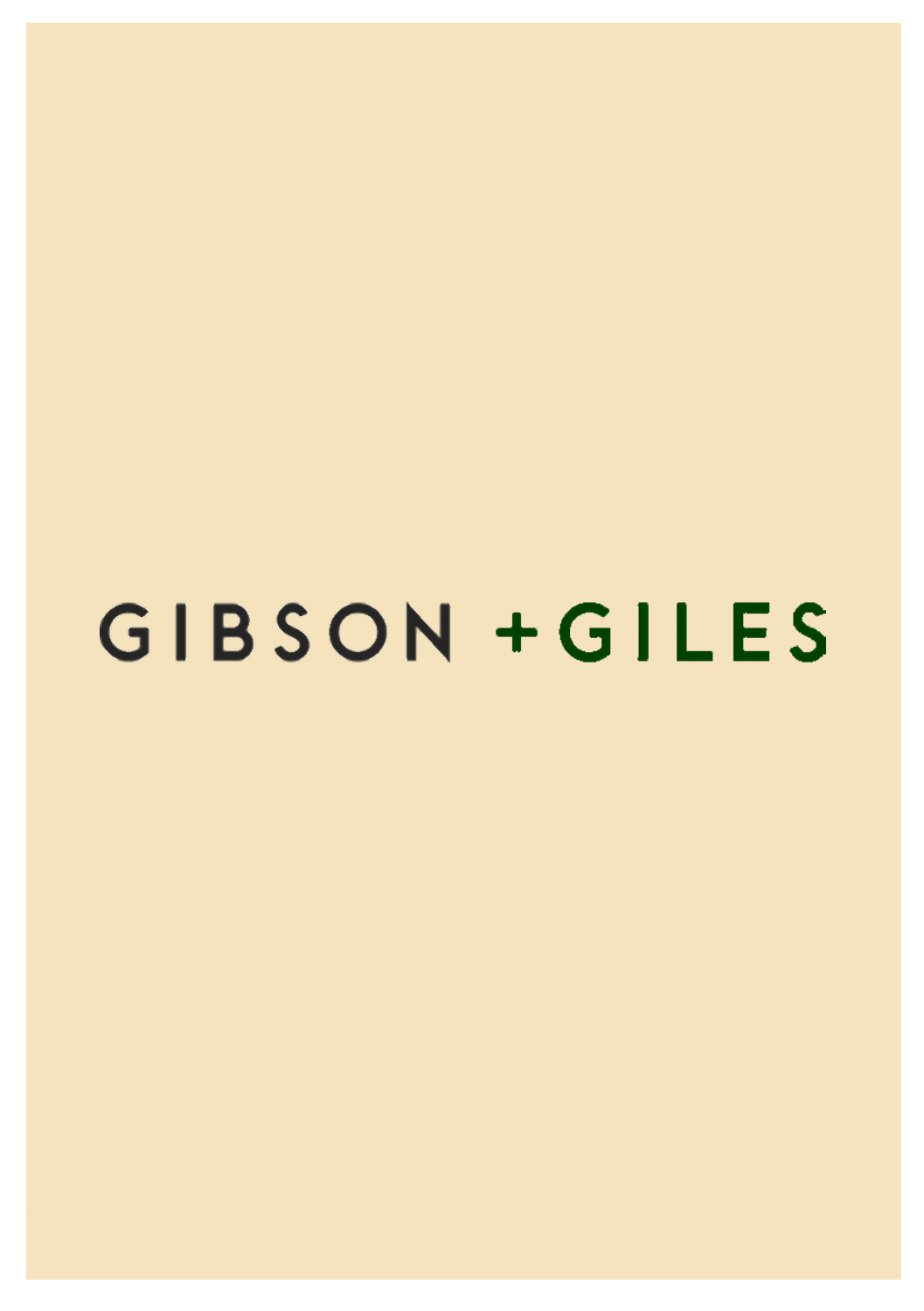# GIBSON +GILES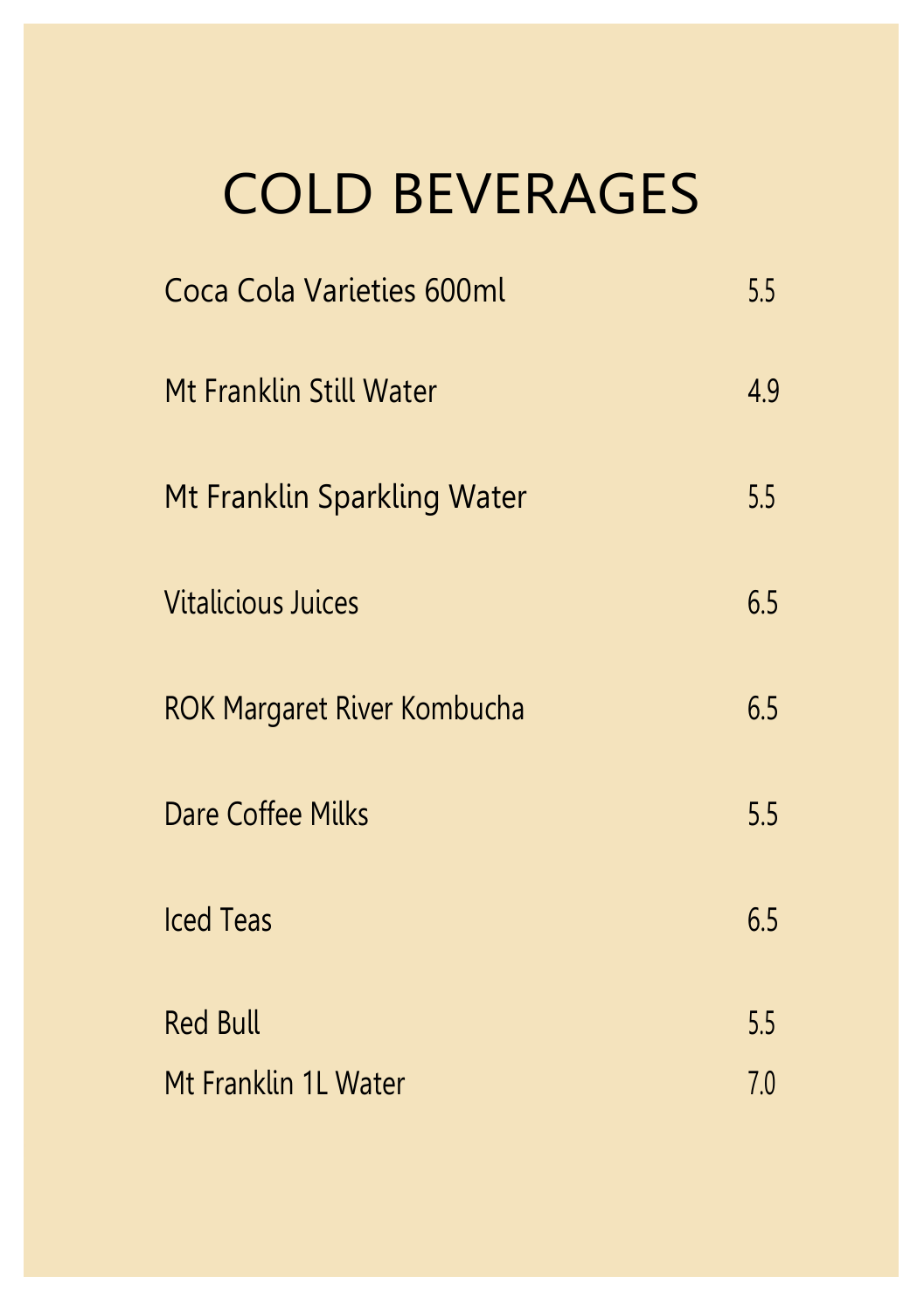# COLD BEVERAGES

| Coca Cola Varieties 600ml          | 5.5 |
|------------------------------------|-----|
| Mt Franklin Still Water            | 4.9 |
| Mt Franklin Sparkling Water        | 5.5 |
| <b>Vitalicious Juices</b>          | 6.5 |
| <b>ROK Margaret River Kombucha</b> | 6.5 |
| Dare Coffee Milks                  | 5.5 |
| <b>Iced Teas</b>                   | 6.5 |
| <b>Red Bull</b>                    | 5.5 |
| Mt Franklin 1L Water               | 7.0 |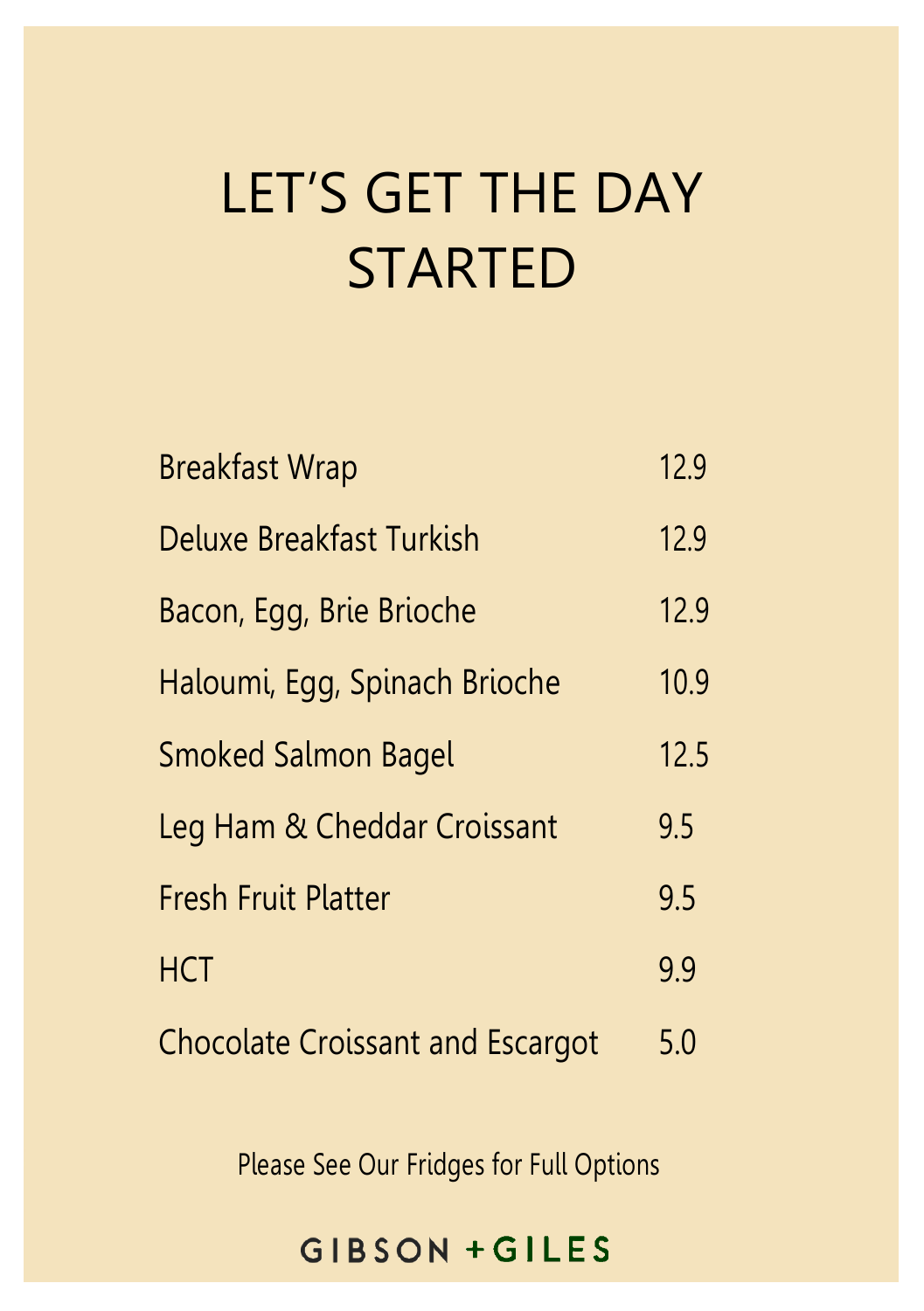# LET'S GET THE DAY **STARTED**

| <b>Breakfast Wrap</b>                   | 12.9 |
|-----------------------------------------|------|
| Deluxe Breakfast Turkish                | 12.9 |
| Bacon, Egg, Brie Brioche                | 12.9 |
| Haloumi, Egg, Spinach Brioche           | 10.9 |
| <b>Smoked Salmon Bagel</b>              | 12.5 |
| Leg Ham & Cheddar Croissant             | 9.5  |
| <b>Fresh Fruit Platter</b>              | 9.5  |
| <b>HCT</b>                              | 9.9  |
| <b>Chocolate Croissant and Escargot</b> | 5.0  |

Please See Our Fridges for Full Options

#### GIBSON + GILES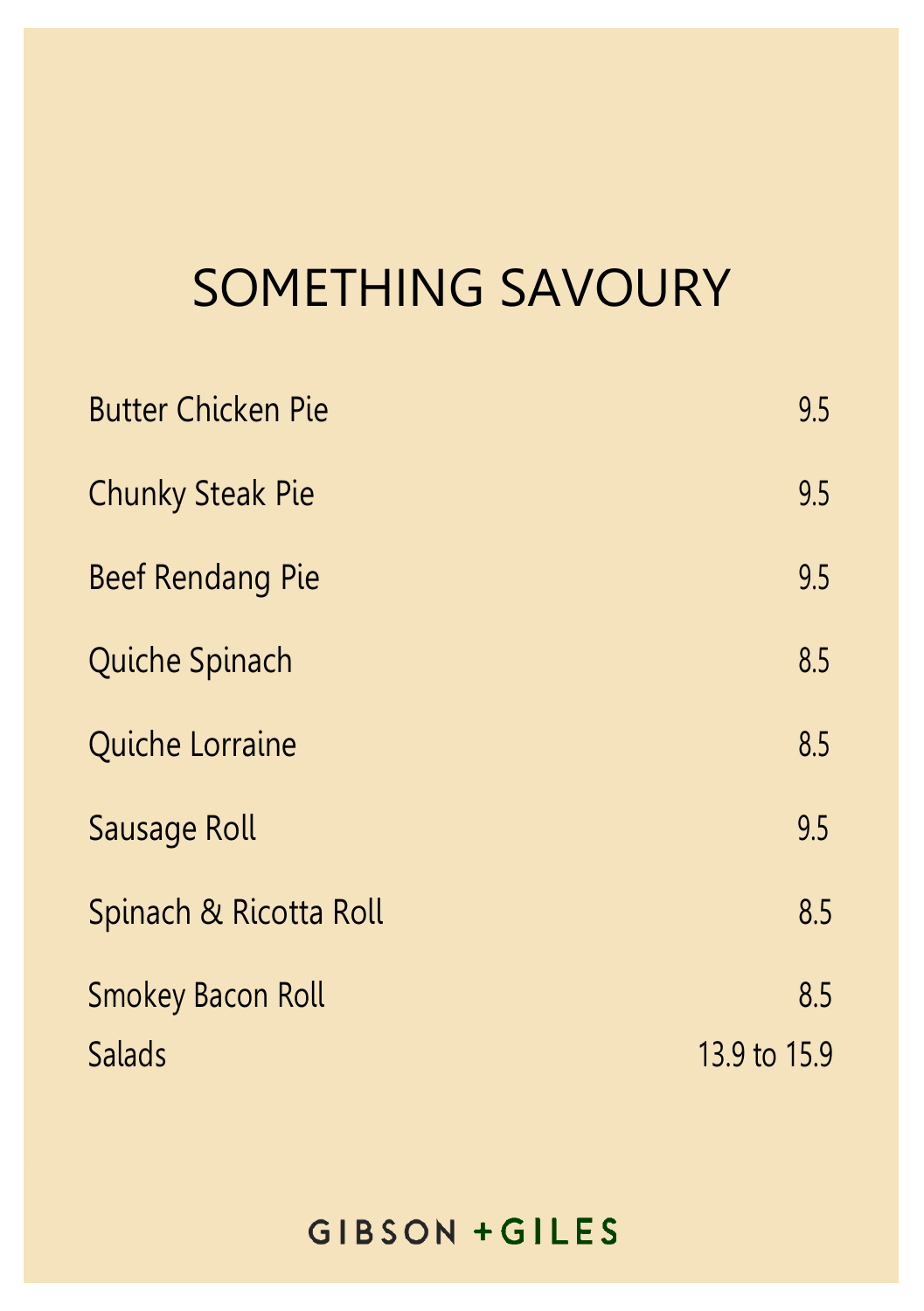### SOMETHING SAVOURY

| <b>Butter Chicken Pie</b> | 9.5          |
|---------------------------|--------------|
| <b>Chunky Steak Pie</b>   | 9.5          |
| <b>Beef Rendang Pie</b>   | 9.5          |
| <b>Quiche Spinach</b>     | 8.5          |
| Quiche Lorraine           | 8.5          |
| Sausage Roll              | 9.5          |
| Spinach & Ricotta Roll    | 8.5          |
| <b>Smokey Bacon Roll</b>  | 8.5          |
| <b>Salads</b>             | 13.9 to 15.9 |

#### GIBSON +GILES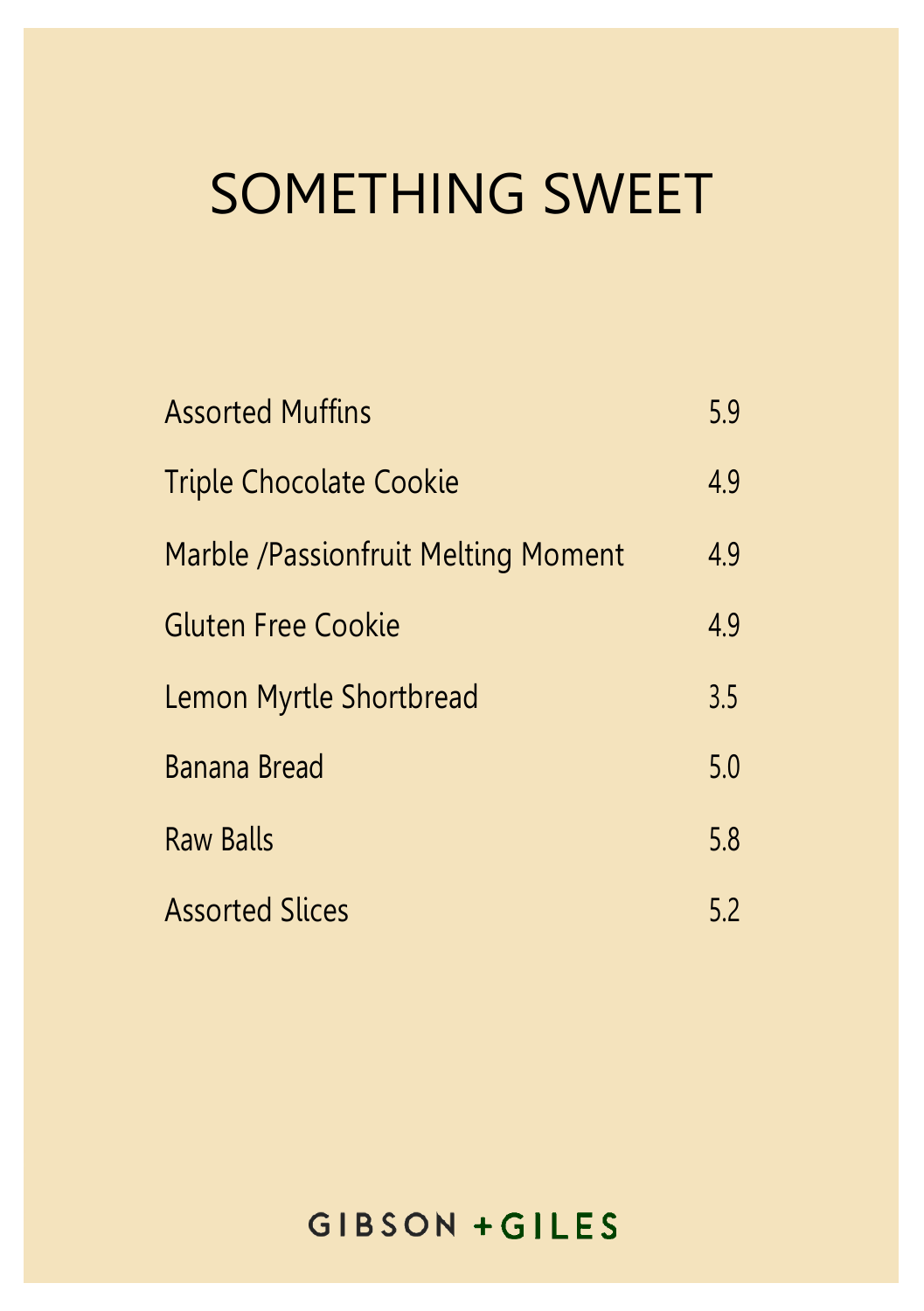## SOMETHING SWEET

| <b>Assorted Muffins</b>             | 5.9 |
|-------------------------------------|-----|
| <b>Triple Chocolate Cookie</b>      | 4.9 |
| Marble /Passionfruit Melting Moment | 4.9 |
| <b>Gluten Free Cookie</b>           | 4.9 |
| Lemon Myrtle Shortbread             | 3.5 |
| <b>Banana Bread</b>                 | 5.0 |
| <b>Raw Balls</b>                    | 5.8 |
| <b>Assorted Slices</b>              | 5.2 |

#### GIBSON + GILES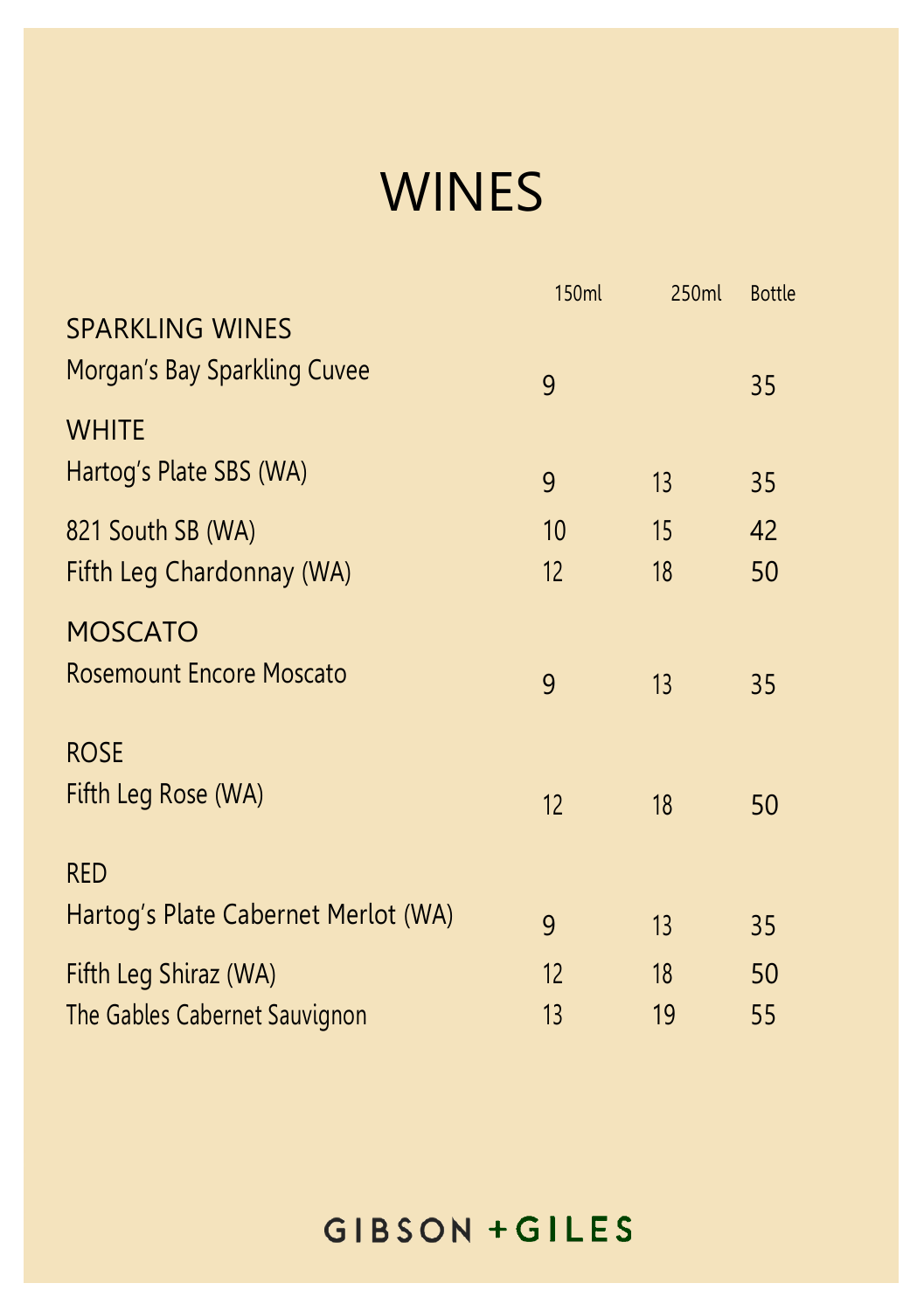### **WINES**

|                                     | <b>150ml</b> | 250ml | <b>Bottle</b> |
|-------------------------------------|--------------|-------|---------------|
| <b>SPARKLING WINES</b>              |              |       |               |
| Morgan's Bay Sparkling Cuvee        | 9            |       | 35            |
| <b>WHITE</b>                        |              |       |               |
| Hartog's Plate SBS (WA)             | 9            | 13    | 35            |
| 821 South SB (WA)                   | 10           | 15    | 42            |
| Fifth Leg Chardonnay (WA)           | 12           | 18    | 50            |
| <b>MOSCATO</b>                      |              |       |               |
| <b>Rosemount Encore Moscato</b>     | 9            | 13    | 35            |
| <b>ROSE</b>                         |              |       |               |
| Fifth Leg Rose (WA)                 | 12           | 18    | 50            |
| <b>RED</b>                          |              |       |               |
| Hartog's Plate Cabernet Merlot (WA) | 9            | 13    | 35            |
| Fifth Leg Shiraz (WA)               | 12           | 18    | 50            |
| The Gables Cabernet Sauvignon       | 13           | 19    | 55            |
|                                     |              |       |               |

#### GIBSON + GILES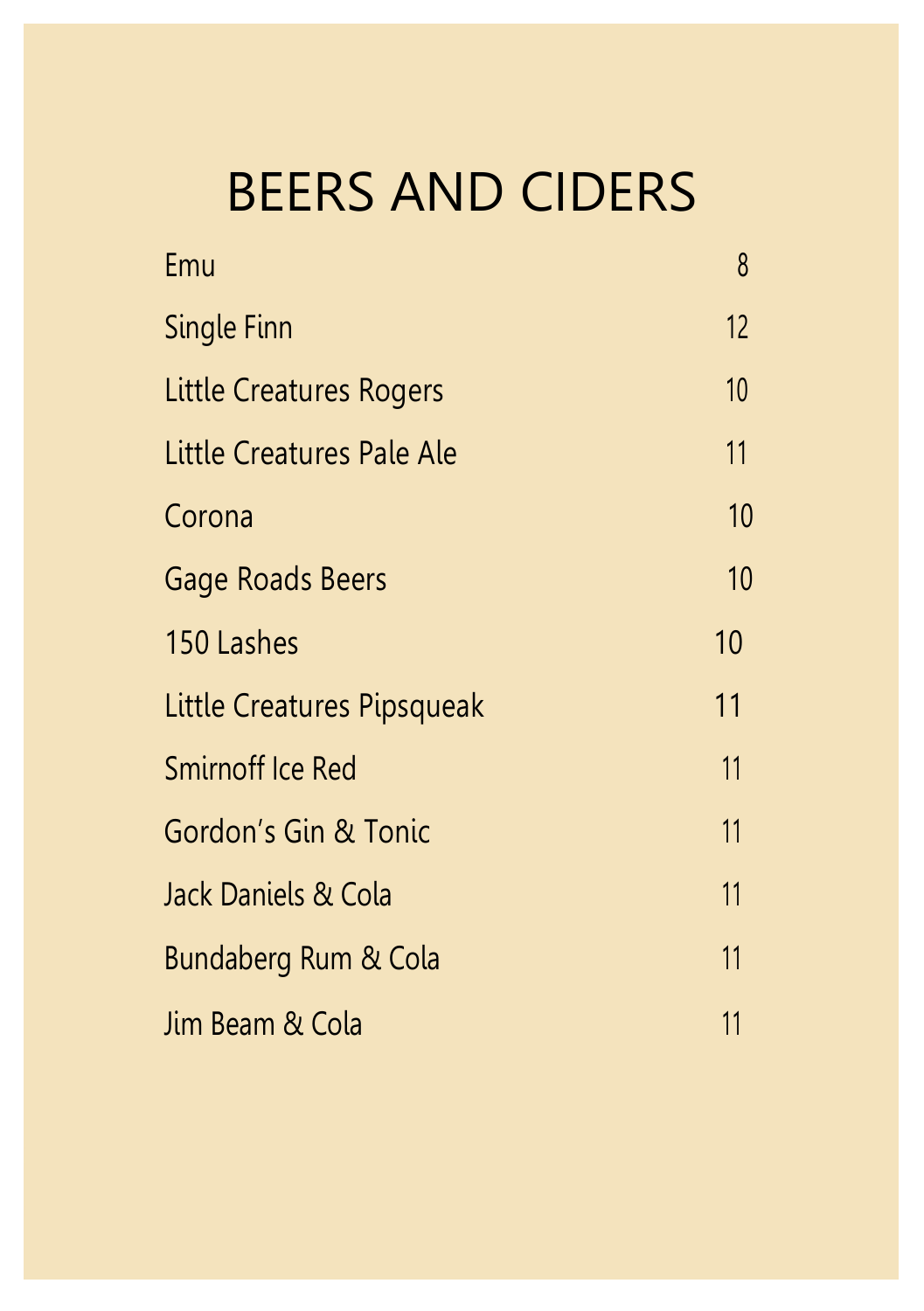## BEERS AND CIDERS

| Emu                              | 8  |
|----------------------------------|----|
| Single Finn                      | 12 |
| Little Creatures Rogers          | 10 |
| <b>Little Creatures Pale Ale</b> | 11 |
| Corona                           | 10 |
| Gage Roads Beers                 | 10 |
| 150 Lashes                       | 10 |
| Little Creatures Pipsqueak       | 11 |
| <b>Smirnoff Ice Red</b>          | 11 |
| Gordon's Gin & Tonic             | 11 |
| Jack Daniels & Cola              | 11 |
| Bundaberg Rum & Cola             | 11 |
| Jim Beam & Cola                  | 11 |